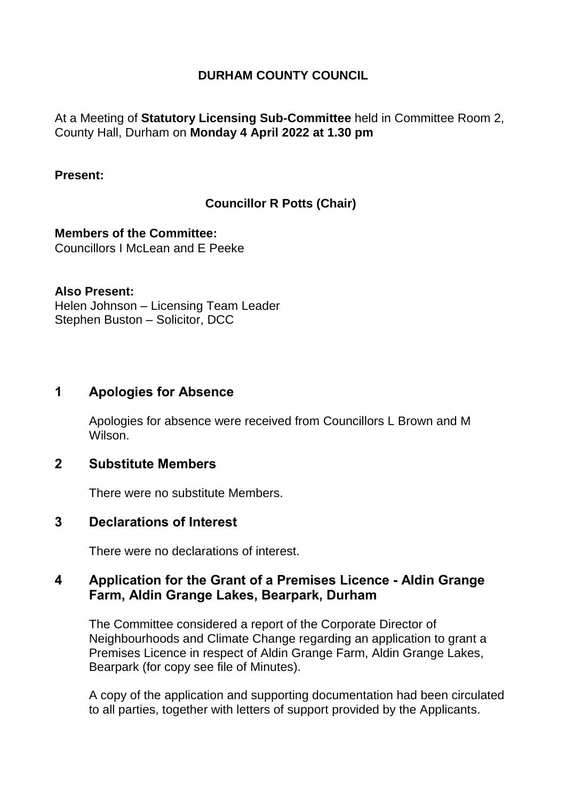## **DURHAM COUNTY COUNCIL**

At a Meeting of **Statutory Licensing Sub-Committee** held in Committee Room 2, County Hall, Durham on **Monday 4 April 2022 at 1.30 pm**

#### **Present:**

## **Councillor R Potts (Chair)**

**Members of the Committee:** Councillors I McLean and E Peeke

#### **Also Present:**

Helen Johnson – Licensing Team Leader Stephen Buston – Solicitor, DCC

### **1 Apologies for Absence**

Apologies for absence were received from Councillors L Brown and M Wilson.

### **2 Substitute Members**

There were no substitute Members.

#### **3 Declarations of Interest**

There were no declarations of interest.

## **4 Application for the Grant of a Premises Licence - Aldin Grange Farm, Aldin Grange Lakes, Bearpark, Durham**

The Committee considered a report of the Corporate Director of Neighbourhoods and Climate Change regarding an application to grant a Premises Licence in respect of Aldin Grange Farm, Aldin Grange Lakes, Bearpark (for copy see file of Minutes).

A copy of the application and supporting documentation had been circulated to all parties, together with letters of support provided by the Applicants.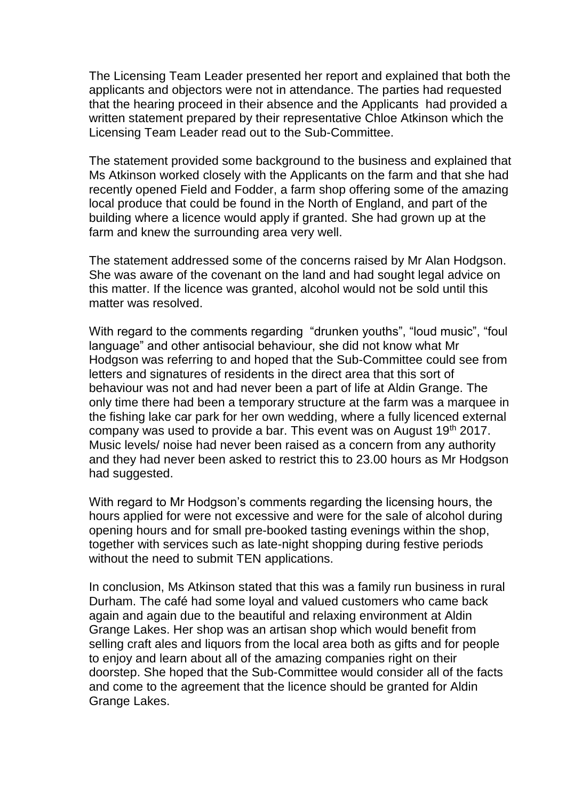The Licensing Team Leader presented her report and explained that both the applicants and objectors were not in attendance. The parties had requested that the hearing proceed in their absence and the Applicants had provided a written statement prepared by their representative Chloe Atkinson which the Licensing Team Leader read out to the Sub-Committee.

The statement provided some background to the business and explained that Ms Atkinson worked closely with the Applicants on the farm and that she had recently opened Field and Fodder, a farm shop offering some of the amazing local produce that could be found in the North of England, and part of the building where a licence would apply if granted. She had grown up at the farm and knew the surrounding area very well.

The statement addressed some of the concerns raised by Mr Alan Hodgson. She was aware of the covenant on the land and had sought legal advice on this matter. If the licence was granted, alcohol would not be sold until this matter was resolved.

With regard to the comments regarding "drunken youths", "loud music", "foul language" and other antisocial behaviour, she did not know what Mr Hodgson was referring to and hoped that the Sub-Committee could see from letters and signatures of residents in the direct area that this sort of behaviour was not and had never been a part of life at Aldin Grange. The only time there had been a temporary structure at the farm was a marquee in the fishing lake car park for her own wedding, where a fully licenced external company was used to provide a bar. This event was on August 19<sup>th</sup> 2017. Music levels/ noise had never been raised as a concern from any authority and they had never been asked to restrict this to 23.00 hours as Mr Hodgson had suggested.

With regard to Mr Hodgson's comments regarding the licensing hours, the hours applied for were not excessive and were for the sale of alcohol during opening hours and for small pre-booked tasting evenings within the shop, together with services such as late-night shopping during festive periods without the need to submit TEN applications.

In conclusion, Ms Atkinson stated that this was a family run business in rural Durham. The café had some loyal and valued customers who came back again and again due to the beautiful and relaxing environment at Aldin Grange Lakes. Her shop was an artisan shop which would benefit from selling craft ales and liquors from the local area both as gifts and for people to enjoy and learn about all of the amazing companies right on their doorstep. She hoped that the Sub-Committee would consider all of the facts and come to the agreement that the licence should be granted for Aldin Grange Lakes.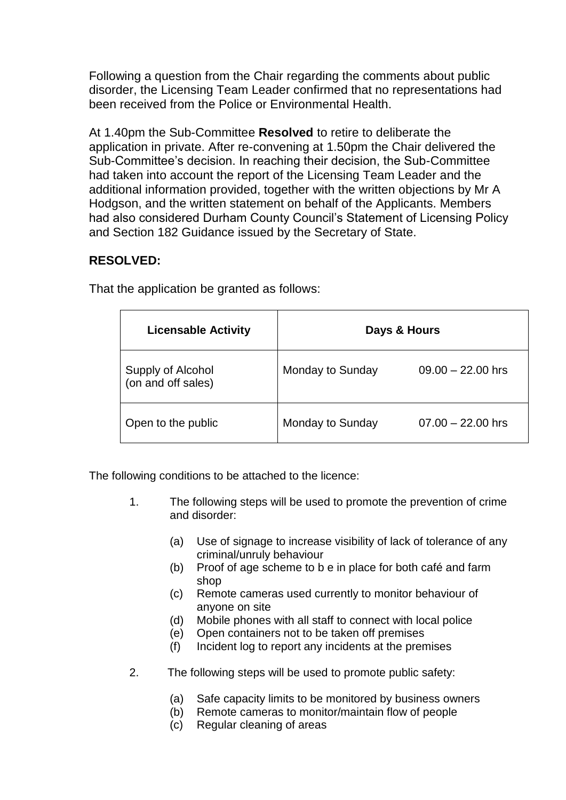Following a question from the Chair regarding the comments about public disorder, the Licensing Team Leader confirmed that no representations had been received from the Police or Environmental Health.

At 1.40pm the Sub-Committee **Resolved** to retire to deliberate the application in private. After re-convening at 1.50pm the Chair delivered the Sub-Committee's decision. In reaching their decision, the Sub-Committee had taken into account the report of the Licensing Team Leader and the additional information provided, together with the written objections by Mr A Hodgson, and the written statement on behalf of the Applicants. Members had also considered Durham County Council's Statement of Licensing Policy and Section 182 Guidance issued by the Secretary of State.

# **RESOLVED:**

| <b>Licensable Activity</b>              | Days & Hours     |                     |
|-----------------------------------------|------------------|---------------------|
| Supply of Alcohol<br>(on and off sales) | Monday to Sunday | $09.00 - 22.00$ hrs |
| Open to the public                      | Monday to Sunday | $07.00 - 22.00$ hrs |

That the application be granted as follows:

The following conditions to be attached to the licence:

- 1. The following steps will be used to promote the prevention of crime and disorder:
	- (a) Use of signage to increase visibility of lack of tolerance of any criminal/unruly behaviour
	- (b) Proof of age scheme to b e in place for both café and farm shop
	- (c) Remote cameras used currently to monitor behaviour of anyone on site
	- (d) Mobile phones with all staff to connect with local police
	- (e) Open containers not to be taken off premises
	- (f) Incident log to report any incidents at the premises
- 2. The following steps will be used to promote public safety:
	- (a) Safe capacity limits to be monitored by business owners
	- (b) Remote cameras to monitor/maintain flow of people
	- (c) Regular cleaning of areas